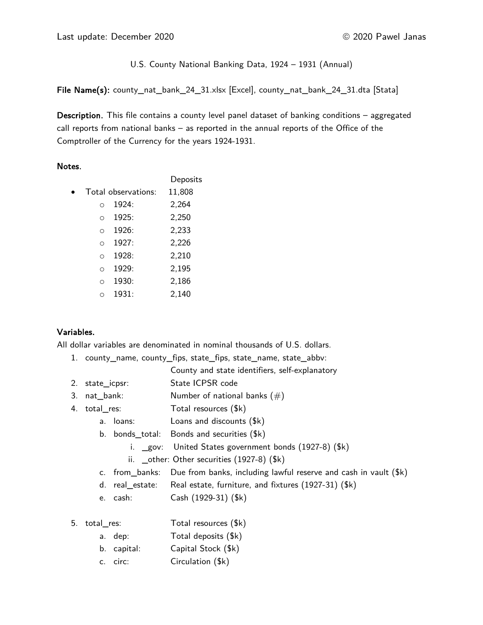U.S. County National Banking Data, 1924 – 1931 (Annual)

File Name(s): county\_nat\_bank\_24\_31.xlsx [Excel], county\_nat\_bank\_24\_31.dta [Stata]

Description. This file contains a county level panel dataset of banking conditions – aggregated call reports from national banks – as reported in the annual reports of the Office of the Comptroller of the Currency for the years 1924-1931.

# Notes.

|            |                     | Deposits |
|------------|---------------------|----------|
|            | Total observations: | 11,808   |
| $\bigcap$  | 1924:               | 2,264    |
| $\Omega$   | 1925:               | 2,250    |
| $\Omega$   | 1926:               | 2,233    |
| $\bigcirc$ | 1927:               | 2,226    |
| $\Omega$   | 1928:               | 2,210    |
| $\bigcap$  | 1929:               | 2,195    |
| O          | 1930:               | 2,186    |
|            | 1931:               | 2,140    |

# Variables.

All dollar variables are denominated in nominal thousands of U.S. dollars.

1. county\_name, county\_fips, state\_fips, state\_name, state\_abbv:

- 2. state icpsr: State ICPSR code
- 3. nat bank:  $N$ umber of national banks  $(\#)$
- 4. total res: Total resources (\$k)
	- a. loans: Loans and discounts (\$k)
	- b. bonds\_total: Bonds and securities (\$k)
		- i. \_gov: United States government bonds (1927-8) (\$k)
		- ii. \_ other: Other securities (1927-8) (\$k)
	- c. from\_banks: Due from banks, including lawful reserve and cash in vault (\$k)
	- d. real\_estate: Real estate, furniture, and fixtures (1927-31) (\$k)
	- e. cash: Cash (1929-31) (\$k)
- 5. total\_res: Total resources (\$k)
	- a. dep: Total deposits (\$k)
	- b. capital: Capital Stock (\$k)
	- c. circ: Circulation (\$k)